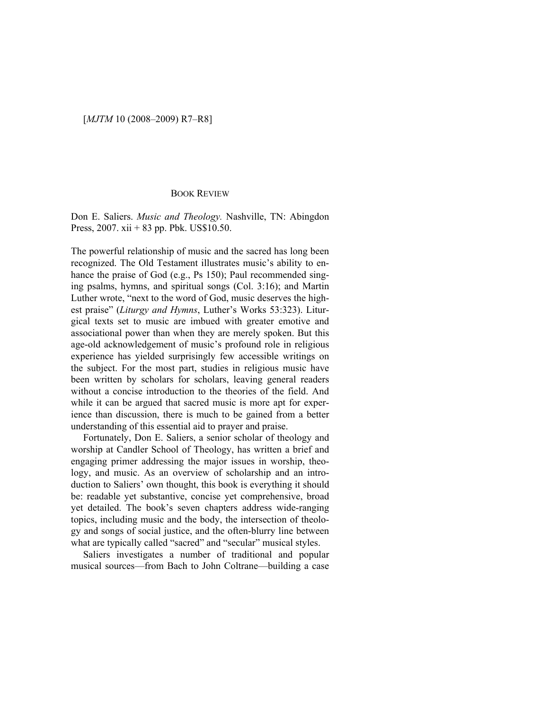## [*MJTM* 10 (2008–2009) R7–R8]

## BOOK REVIEW

Don E. Saliers. *Music and Theology.* Nashville, TN: Abingdon Press, 2007. xii + 83 pp. Pbk. US\$10.50.

The powerful relationship of music and the sacred has long been recognized. The Old Testament illustrates music's ability to enhance the praise of God (e.g., Ps 150); Paul recommended singing psalms, hymns, and spiritual songs (Col. 3:16); and Martin Luther wrote, "next to the word of God, music deserves the highest praise" (*Liturgy and Hymns*, Luther's Works 53:323). Liturgical texts set to music are imbued with greater emotive and associational power than when they are merely spoken. But this age-old acknowledgement of music's profound role in religious experience has yielded surprisingly few accessible writings on the subject. For the most part, studies in religious music have been written by scholars for scholars, leaving general readers without a concise introduction to the theories of the field. And while it can be argued that sacred music is more apt for experience than discussion, there is much to be gained from a better understanding of this essential aid to prayer and praise.

Fortunately, Don E. Saliers, a senior scholar of theology and worship at Candler School of Theology, has written a brief and engaging primer addressing the major issues in worship, theology, and music. As an overview of scholarship and an introduction to Saliers' own thought, this book is everything it should be: readable yet substantive, concise yet comprehensive, broad yet detailed. The book's seven chapters address wide-ranging topics, including music and the body, the intersection of theology and songs of social justice, and the often-blurry line between what are typically called "sacred" and "secular" musical styles.

Saliers investigates a number of traditional and popular musical sources—from Bach to John Coltrane—building a case